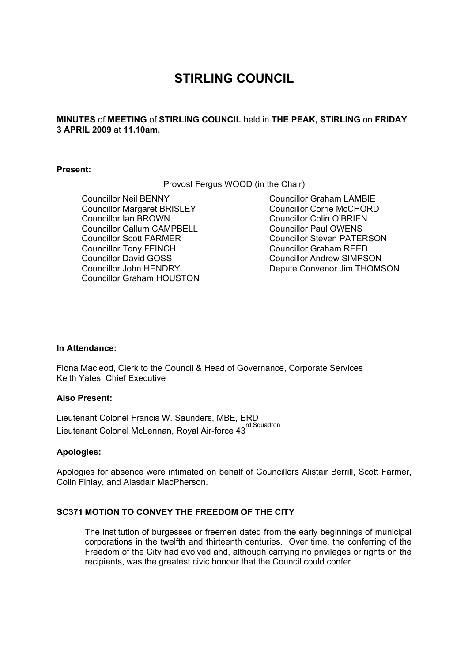# **STIRLING COUNCIL**

**MINUTES** of **MEETING** of **STIRLING COUNCIL** held in **THE PEAK, STIRLING** on **FRIDAY 3 APRIL 2009** at **11.10am.** 

### **Present:**

Provost Fergus WOOD (in the Chair)

Councillor Neil BENNY Councillor Margaret BRISLEY Councillor Ian BROWN Councillor Callum CAMPBELL Councillor Scott FARMER Councillor Tony FFINCH Councillor David GOSS Councillor John HENDRY Councillor Graham HOUSTON Councillor Graham LAMBIE Councillor Corrie McCHORD Councillor Colin O'BRIEN Councillor Paul OWENS Councillor Steven PATERSON Councillor Graham REED Councillor Andrew SIMPSON Depute Convenor Jim THOMSON

#### **In Attendance:**

Fiona Macleod, Clerk to the Council & Head of Governance, Corporate Services Keith Yates, Chief Executive

#### **Also Present:**

Lieutenant Colonel Francis W. Saunders, MBE, ERD Lieutenant Colonel McLennan, Royal Air-force 43<sup>rd Squadron</sup>

## **Apologies:**

Apologies for absence were intimated on behalf of Councillors Alistair Berrill, Scott Farmer, Colin Finlay, and Alasdair MacPherson.

## **SC371 MOTION TO CONVEY THE FREEDOM OF THE CITY**

The institution of burgesses or freemen dated from the early beginnings of municipal corporations in the twelfth and thirteenth centuries. Over time, the conferring of the Freedom of the City had evolved and, although carrying no privileges or rights on the recipients, was the greatest civic honour that the Council could confer.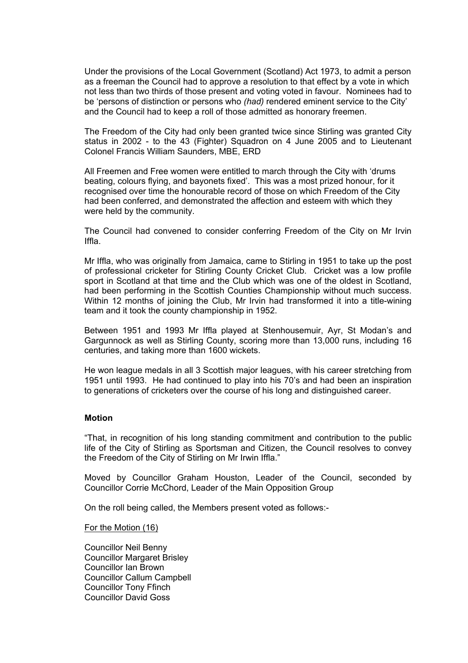Under the provisions of the Local Government (Scotland) Act 1973, to admit a person as a freeman the Council had to approve a resolution to that effect by a vote in which not less than two thirds of those present and voting voted in favour. Nominees had to be 'persons of distinction or persons who *(had)* rendered eminent service to the City' and the Council had to keep a roll of those admitted as honorary freemen.

The Freedom of the City had only been granted twice since Stirling was granted City status in 2002 - to the 43 (Fighter) Squadron on 4 June 2005 and to Lieutenant Colonel Francis William Saunders, MBE, ERD

All Freemen and Free women were entitled to march through the City with 'drums beating, colours flying, and bayonets fixed'. This was a most prized honour, for it recognised over time the honourable record of those on which Freedom of the City had been conferred, and demonstrated the affection and esteem with which they were held by the community.

The Council had convened to consider conferring Freedom of the City on Mr Irvin Iffla.

Mr Iffla, who was originally from Jamaica, came to Stirling in 1951 to take up the post of professional cricketer for Stirling County Cricket Club. Cricket was a low profile sport in Scotland at that time and the Club which was one of the oldest in Scotland, had been performing in the Scottish Counties Championship without much success. Within 12 months of joining the Club, Mr Irvin had transformed it into a title-wining team and it took the county championship in 1952.

Between 1951 and 1993 Mr Iffla played at Stenhousemuir, Ayr, St Modan's and Gargunnock as well as Stirling County, scoring more than 13,000 runs, including 16 centuries, and taking more than 1600 wickets.

He won league medals in all 3 Scottish major leagues, with his career stretching from 1951 until 1993. He had continued to play into his 70's and had been an inspiration to generations of cricketers over the course of his long and distinguished career.

#### **Motion**

"That, in recognition of his long standing commitment and contribution to the public life of the City of Stirling as Sportsman and Citizen, the Council resolves to convey the Freedom of the City of Stirling on Mr Irwin Iffla."

Moved by Councillor Graham Houston, Leader of the Council, seconded by Councillor Corrie McChord, Leader of the Main Opposition Group

On the roll being called, the Members present voted as follows:-

For the Motion (16)

Councillor Neil Benny Councillor Margaret Brisley Councillor Ian Brown Councillor Callum Campbell Councillor Tony Ffinch Councillor David Goss